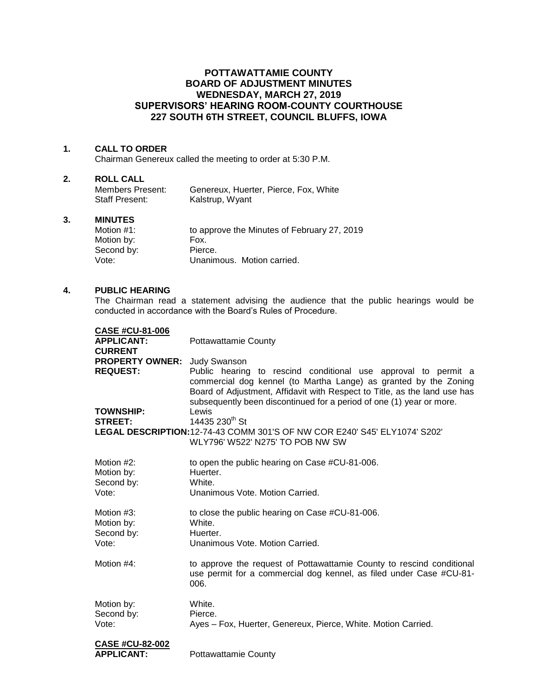# **POTTAWATTAMIE COUNTY BOARD OF ADJUSTMENT MINUTES WEDNESDAY, MARCH 27, 2019 SUPERVISORS' HEARING ROOM-COUNTY COURTHOUSE 227 SOUTH 6TH STREET, COUNCIL BLUFFS, IOWA**

#### **1. CALL TO ORDER**

Chairman Genereux called the meeting to order at 5:30 P.M.

#### **2. ROLL CALL**

| Members Present: | Genereux, Huerter, Pierce, Fox, White |
|------------------|---------------------------------------|
| Staff Present:   | Kalstrup, Wyant                       |

### **3. MINUTES**

| to approve the Minutes of February 27, 2019 |
|---------------------------------------------|
| Fox.                                        |
| Pierce.                                     |
| Unanimous. Motion carried.                  |
|                                             |

## **4. PUBLIC HEARING**

The Chairman read a statement advising the audience that the public hearings would be conducted in accordance with the Board's Rules of Procedure.

| <b>CASE #CU-81-006</b>       |                                                                                                                                                                                                                                                                                         |
|------------------------------|-----------------------------------------------------------------------------------------------------------------------------------------------------------------------------------------------------------------------------------------------------------------------------------------|
| <b>APPLICANT:</b>            | <b>Pottawattamie County</b>                                                                                                                                                                                                                                                             |
| <b>CURRENT</b>               |                                                                                                                                                                                                                                                                                         |
| PROPERTY OWNER: Judy Swanson |                                                                                                                                                                                                                                                                                         |
| <b>REQUEST:</b>              | Public hearing to rescind conditional use approval to permit a<br>commercial dog kennel (to Martha Lange) as granted by the Zoning<br>Board of Adjustment, Affidavit with Respect to Title, as the land use has<br>subsequently been discontinued for a period of one (1) year or more. |
| <b>TOWNSHIP:</b>             | Lewis                                                                                                                                                                                                                                                                                   |
| <b>STREET:</b>               | 14435 230th St                                                                                                                                                                                                                                                                          |
|                              | LEGAL DESCRIPTION: 12-74-43 COMM 301'S OF NW COR E240' S45' ELY1074' S202'<br>WLY796' W522' N275' TO POB NW SW                                                                                                                                                                          |
| Motion #2:                   | to open the public hearing on Case #CU-81-006.                                                                                                                                                                                                                                          |
| Motion by:                   | Huerter.                                                                                                                                                                                                                                                                                |
| Second by:                   | White.                                                                                                                                                                                                                                                                                  |
| Vote:                        | Unanimous Vote, Motion Carried.                                                                                                                                                                                                                                                         |
|                              |                                                                                                                                                                                                                                                                                         |
| Motion #3:                   | to close the public hearing on Case #CU-81-006.                                                                                                                                                                                                                                         |
| Motion by:                   | White.                                                                                                                                                                                                                                                                                  |
| Second by:                   | Huerter.                                                                                                                                                                                                                                                                                |
| Vote:                        | Unanimous Vote, Motion Carried.                                                                                                                                                                                                                                                         |
|                              |                                                                                                                                                                                                                                                                                         |
| Motion #4:                   | to approve the request of Pottawattamie County to rescind conditional<br>use permit for a commercial dog kennel, as filed under Case #CU-81-<br>006.                                                                                                                                    |
| Motion by:                   | White.                                                                                                                                                                                                                                                                                  |
| Second by:                   | Pierce.                                                                                                                                                                                                                                                                                 |
| Vote:                        | Ayes - Fox, Huerter, Genereux, Pierce, White. Motion Carried.                                                                                                                                                                                                                           |
|                              |                                                                                                                                                                                                                                                                                         |
| <b>CASE #CU-82-002</b>       |                                                                                                                                                                                                                                                                                         |
| <b>APPLICANT:</b>            | Pottawattamie County                                                                                                                                                                                                                                                                    |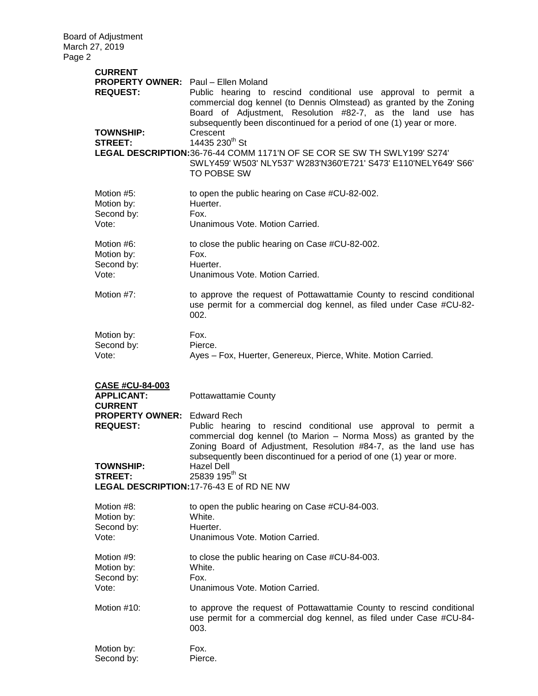| <b>CURRENT</b>                                                                                                         |                                                                                                                                                                                                                                                                             |
|------------------------------------------------------------------------------------------------------------------------|-----------------------------------------------------------------------------------------------------------------------------------------------------------------------------------------------------------------------------------------------------------------------------|
| <b>PROPERTY OWNER:</b> Paul – Ellen Moland<br><b>REQUEST:</b>                                                          | Public hearing to rescind conditional use approval to permit a<br>commercial dog kennel (to Dennis Olmstead) as granted by the Zoning<br>Board of Adjustment, Resolution #82-7, as the land use has<br>subsequently been discontinued for a period of one (1) year or more. |
| <b>TOWNSHIP:</b><br><b>STREET:</b>                                                                                     | Crescent<br>14435 230th St<br>LEGAL DESCRIPTION: 36-76-44 COMM 1171'N OF SE COR SE SW TH SWLY199' S274'<br>SWLY459' W503' NLY537' W283'N360'E721' S473' E110'NELY649' S66'<br><b>TO POBSE SW</b>                                                                            |
| Motion #5:<br>Motion by:<br>Second by:<br>Vote:                                                                        | to open the public hearing on Case #CU-82-002.<br>Huerter.<br>Fox.<br>Unanimous Vote. Motion Carried.                                                                                                                                                                       |
| Motion #6:<br>Motion by:<br>Second by:<br>Vote:                                                                        | to close the public hearing on Case #CU-82-002.<br>Fox.<br>Huerter.<br>Unanimous Vote. Motion Carried.                                                                                                                                                                      |
| Motion #7:                                                                                                             | to approve the request of Pottawattamie County to rescind conditional<br>use permit for a commercial dog kennel, as filed under Case #CU-82-<br>002.                                                                                                                        |
| Motion by:<br>Second by:<br>Vote:                                                                                      | Fox.<br>Pierce.<br>Ayes - Fox, Huerter, Genereux, Pierce, White. Motion Carried.                                                                                                                                                                                            |
| <b>CASE #CU-84-003</b><br><b>APPLICANT:</b><br><b>CURRENT</b><br><b>PROPERTY OWNER:</b> Edward Rech<br><b>REQUEST:</b> | <b>Pottawattamie County</b><br>Public hearing to rescind conditional use approval to permit a<br>commercial dog kennel (to Marion - Norma Moss) as granted by the<br>Zoning Board of Adjustment, Resolution #84-7, as the land use has                                      |
|                                                                                                                        |                                                                                                                                                                                                                                                                             |
| <b>TOWNSHIP:</b><br><b>STREET:</b>                                                                                     | subsequently been discontinued for a period of one (1) year or more.<br><b>Hazel Dell</b><br>25839 195 <sup>th</sup> St<br>LEGAL DESCRIPTION: 17-76-43 E of RD NE NW                                                                                                        |
| Motion #8:<br>Motion by:<br>Second by:<br>Vote:                                                                        | to open the public hearing on Case #CU-84-003.<br>White.<br>Huerter.<br>Unanimous Vote. Motion Carried.                                                                                                                                                                     |
| Motion #9:<br>Motion by:<br>Second by:<br>Vote:                                                                        | to close the public hearing on Case #CU-84-003.<br>White.<br>Fox.<br>Unanimous Vote. Motion Carried.                                                                                                                                                                        |
| Motion #10:                                                                                                            | to approve the request of Pottawattamie County to rescind conditional<br>use permit for a commercial dog kennel, as filed under Case #CU-84-<br>003.                                                                                                                        |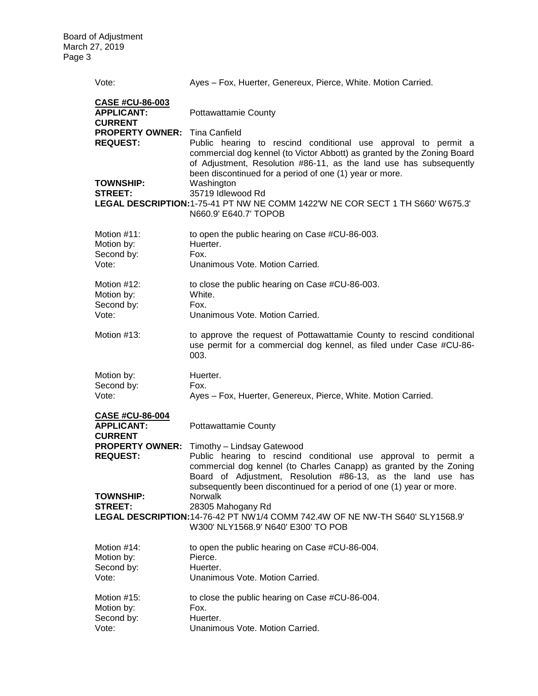| Vote:                                                         | Ayes - Fox, Huerter, Genereux, Pierce, White. Motion Carried.                                                                                                                                                                                                                                                        |
|---------------------------------------------------------------|----------------------------------------------------------------------------------------------------------------------------------------------------------------------------------------------------------------------------------------------------------------------------------------------------------------------|
| <b>CASE #CU-86-003</b><br><b>APPLICANT:</b><br><b>CURRENT</b> | <b>Pottawattamie County</b>                                                                                                                                                                                                                                                                                          |
| <b>PROPERTY OWNER:</b> Tina Canfield<br><b>REQUEST:</b>       | Public hearing to rescind conditional use approval to permit a<br>commercial dog kennel (to Victor Abbott) as granted by the Zoning Board<br>of Adjustment, Resolution #86-11, as the land use has subsequently<br>been discontinued for a period of one (1) year or more.                                           |
| <b>TOWNSHIP:</b><br><b>STREET:</b>                            | Washington<br>35719 Idlewood Rd<br>LEGAL DESCRIPTION: 1-75-41 PT NW NE COMM 1422'W NE COR SECT 1 TH S660' W675.3'<br>N660.9' E640.7' TOPOB                                                                                                                                                                           |
| Motion $#11$ :<br>Motion by:<br>Second by:<br>Vote:           | to open the public hearing on Case #CU-86-003.<br>Huerter.<br>Fox.<br>Unanimous Vote, Motion Carried.                                                                                                                                                                                                                |
| Motion $#12$ :<br>Motion by:<br>Second by:<br>Vote:           | to close the public hearing on Case #CU-86-003.<br>White.<br>Fox.<br>Unanimous Vote. Motion Carried.                                                                                                                                                                                                                 |
| Motion $#13$ :                                                | to approve the request of Pottawattamie County to rescind conditional<br>use permit for a commercial dog kennel, as filed under Case #CU-86-<br>003.                                                                                                                                                                 |
| Motion by:<br>Second by:<br>Vote:                             | Huerter.<br>Fox.<br>Ayes - Fox, Huerter, Genereux, Pierce, White. Motion Carried.                                                                                                                                                                                                                                    |
| <b>CASE #CU-86-004</b><br><b>APPLICANT:</b><br><b>CURRENT</b> | <b>Pottawattamie County</b>                                                                                                                                                                                                                                                                                          |
| <b>PROPERTY OWNER:</b><br><b>REQUEST:</b><br><b>TOWNSHIP:</b> | Timothy - Lindsay Gatewood<br>Public hearing to rescind conditional use approval to permit a<br>commercial dog kennel (to Charles Canapp) as granted by the Zoning<br>Board of Adjustment, Resolution #86-13, as the land use has<br>subsequently been discontinued for a period of one (1) year or more.<br>Norwalk |
| <b>STREET:</b>                                                | 28305 Mahogany Rd<br>LEGAL DESCRIPTION: 14-76-42 PT NW1/4 COMM 742.4W OF NE NW-TH S640' SLY1568.9'<br>W300' NLY1568.9' N640' E300' TO POB                                                                                                                                                                            |
| Motion #14:<br>Motion by:<br>Second by:<br>Vote:              | to open the public hearing on Case #CU-86-004.<br>Pierce.<br>Huerter.<br>Unanimous Vote, Motion Carried.                                                                                                                                                                                                             |
| Motion #15:<br>Motion by:<br>Second by:<br>Vote:              | to close the public hearing on Case #CU-86-004.<br>Fox.<br>Huerter.<br>Unanimous Vote. Motion Carried.                                                                                                                                                                                                               |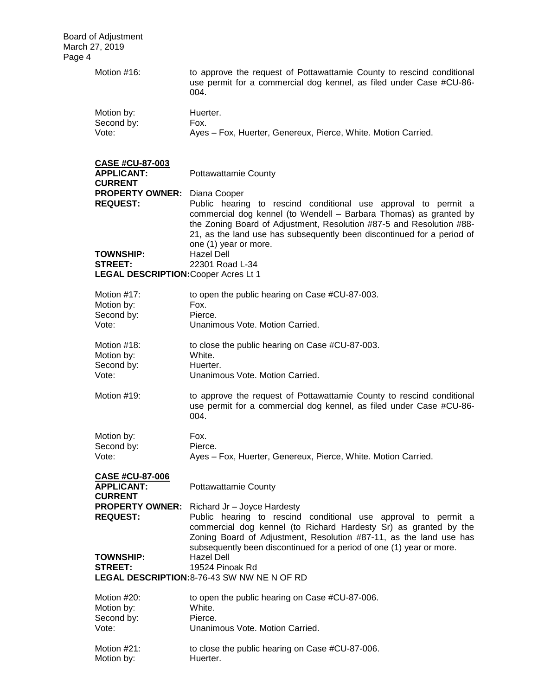| Motion #16:                                                   | to approve the request of Pottawattamie County to rescind conditional<br>use permit for a commercial dog kennel, as filed under Case #CU-86-<br>004.                                                                |  |
|---------------------------------------------------------------|---------------------------------------------------------------------------------------------------------------------------------------------------------------------------------------------------------------------|--|
| Motion by:                                                    | Huerter.                                                                                                                                                                                                            |  |
| Second by:                                                    | Fox.                                                                                                                                                                                                                |  |
| Vote:                                                         | Ayes - Fox, Huerter, Genereux, Pierce, White. Motion Carried.                                                                                                                                                       |  |
|                                                               |                                                                                                                                                                                                                     |  |
| CASE #CU-87-003<br><b>APPLICANT:</b>                          | <b>Pottawattamie County</b>                                                                                                                                                                                         |  |
| <b>CURRENT</b>                                                |                                                                                                                                                                                                                     |  |
| <b>PROPERTY OWNER:</b>                                        | Diana Cooper                                                                                                                                                                                                        |  |
| <b>REQUEST:</b>                                               | Public hearing to rescind conditional use approval to permit a                                                                                                                                                      |  |
|                                                               | commercial dog kennel (to Wendell - Barbara Thomas) as granted by<br>the Zoning Board of Adjustment, Resolution #87-5 and Resolution #88-<br>21, as the land use has subsequently been discontinued for a period of |  |
| <b>TOWNSHIP:</b>                                              | one (1) year or more.<br><b>Hazel Dell</b>                                                                                                                                                                          |  |
| <b>STREET:</b>                                                | 22301 Road L-34                                                                                                                                                                                                     |  |
| <b>LEGAL DESCRIPTION: Cooper Acres Lt 1</b>                   |                                                                                                                                                                                                                     |  |
|                                                               |                                                                                                                                                                                                                     |  |
| Motion #17:                                                   | to open the public hearing on Case #CU-87-003.                                                                                                                                                                      |  |
| Motion by:                                                    | Fox.                                                                                                                                                                                                                |  |
| Second by:                                                    | Pierce.                                                                                                                                                                                                             |  |
| Vote:                                                         | Unanimous Vote. Motion Carried.                                                                                                                                                                                     |  |
| Motion #18:                                                   | to close the public hearing on Case #CU-87-003.                                                                                                                                                                     |  |
| Motion by:                                                    | White.                                                                                                                                                                                                              |  |
| Second by:                                                    | Huerter.                                                                                                                                                                                                            |  |
| Vote:                                                         | Unanimous Vote. Motion Carried.                                                                                                                                                                                     |  |
| Motion #19:                                                   | to approve the request of Pottawattamie County to rescind conditional<br>use permit for a commercial dog kennel, as filed under Case #CU-86-<br>004.                                                                |  |
| Motion by:                                                    | Fox.                                                                                                                                                                                                                |  |
| Second by:                                                    | Pierce.                                                                                                                                                                                                             |  |
| Vote:                                                         | Ayes - Fox, Huerter, Genereux, Pierce, White. Motion Carried.                                                                                                                                                       |  |
|                                                               |                                                                                                                                                                                                                     |  |
| <b>CASE #CU-87-006</b><br><b>APPLICANT:</b><br><b>CURRENT</b> | <b>Pottawattamie County</b>                                                                                                                                                                                         |  |
| <b>PROPERTY OWNER:</b><br><b>REQUEST:</b>                     | Richard Jr - Joyce Hardesty<br>Public hearing to rescind conditional use approval to permit a                                                                                                                       |  |
|                                                               | commercial dog kennel (to Richard Hardesty Sr) as granted by the<br>Zoning Board of Adjustment, Resolution #87-11, as the land use has                                                                              |  |
| <b>TOWNSHIP:</b>                                              | subsequently been discontinued for a period of one (1) year or more.<br>Hazel Dell                                                                                                                                  |  |
| <b>STREET:</b>                                                | 19524 Pinoak Rd                                                                                                                                                                                                     |  |
|                                                               | <b>LEGAL DESCRIPTION: 8-76-43 SW NW NE N OF RD</b>                                                                                                                                                                  |  |
|                                                               |                                                                                                                                                                                                                     |  |
| Motion #20:                                                   | to open the public hearing on Case #CU-87-006.                                                                                                                                                                      |  |
| Motion by:                                                    | White.                                                                                                                                                                                                              |  |
| Second by:                                                    | Pierce.                                                                                                                                                                                                             |  |
| Vote:                                                         | Unanimous Vote. Motion Carried.                                                                                                                                                                                     |  |
| Motion #21:                                                   | to close the public hearing on Case #CU-87-006.                                                                                                                                                                     |  |

Motion by: Huerter.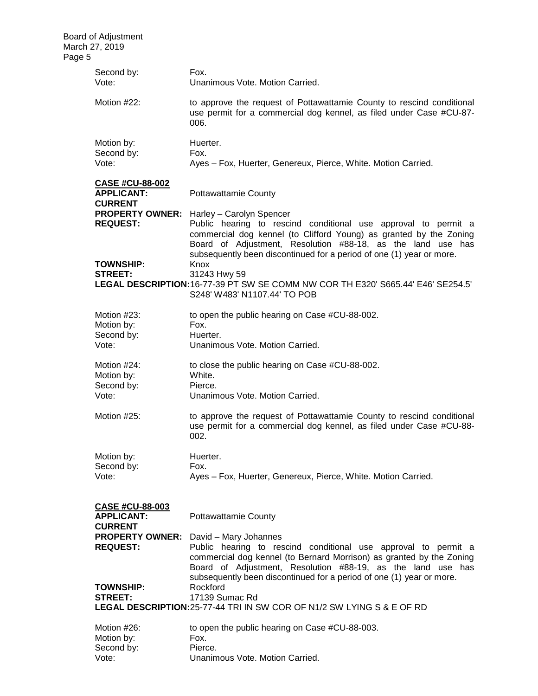| Page 5 | <b>Board of Adjustment</b><br>March 27, 2019 |                                                                                                                                                                                                                                                                                                         |
|--------|----------------------------------------------|---------------------------------------------------------------------------------------------------------------------------------------------------------------------------------------------------------------------------------------------------------------------------------------------------------|
|        |                                              |                                                                                                                                                                                                                                                                                                         |
|        | Second by:<br>Vote:                          | Fox.<br>Unanimous Vote, Motion Carried.                                                                                                                                                                                                                                                                 |
|        | Motion #22:                                  | to approve the request of Pottawattamie County to rescind conditional<br>use permit for a commercial dog kennel, as filed under Case #CU-87-<br>006.                                                                                                                                                    |
|        | Motion by:                                   | Huerter.                                                                                                                                                                                                                                                                                                |
|        | Second by:                                   | Fox.                                                                                                                                                                                                                                                                                                    |
|        | Vote:                                        | Ayes - Fox, Huerter, Genereux, Pierce, White. Motion Carried.                                                                                                                                                                                                                                           |
|        | <b>CASE #CU-88-002</b>                       |                                                                                                                                                                                                                                                                                                         |
|        | <b>APPLICANT:</b><br><b>CURRENT</b>          | <b>Pottawattamie County</b>                                                                                                                                                                                                                                                                             |
|        | <b>PROPERTY OWNER:</b><br><b>REQUEST:</b>    | Harley - Carolyn Spencer<br>Public hearing to rescind conditional use approval to permit a<br>commercial dog kennel (to Clifford Young) as granted by the Zoning<br>Board of Adjustment, Resolution #88-18, as the land use has<br>subsequently been discontinued for a period of one (1) year or more. |
|        | <b>TOWNSHIP:</b>                             | Knox                                                                                                                                                                                                                                                                                                    |
|        | <b>STREET:</b>                               | 31243 Hwy 59                                                                                                                                                                                                                                                                                            |
|        |                                              | LEGAL DESCRIPTION: 16-77-39 PT SW SE COMM NW COR TH E320' S665.44' E46' SE254.5'<br>S248' W483' N1107.44' TO POB                                                                                                                                                                                        |
|        | Motion #23:                                  | to open the public hearing on Case #CU-88-002.                                                                                                                                                                                                                                                          |
|        | Motion by:                                   | Fox.                                                                                                                                                                                                                                                                                                    |
|        | Second by:                                   | Huerter.                                                                                                                                                                                                                                                                                                |
|        | Vote:                                        | Unanimous Vote. Motion Carried.                                                                                                                                                                                                                                                                         |
|        | Motion #24:                                  | to close the public hearing on Case #CU-88-002.                                                                                                                                                                                                                                                         |
|        | Motion by:                                   | White.                                                                                                                                                                                                                                                                                                  |
|        | Second by:                                   | Pierce.                                                                                                                                                                                                                                                                                                 |
|        | Vote:                                        | Unanimous Vote. Motion Carried.                                                                                                                                                                                                                                                                         |
|        | Motion #25:                                  | to approve the request of Pottawattamie County to rescind conditional<br>use permit for a commercial dog kennel, as filed under Case #CU-88-<br>002.                                                                                                                                                    |
|        | Motion by:                                   | Huerter.                                                                                                                                                                                                                                                                                                |
|        | Second by:                                   | Fox.                                                                                                                                                                                                                                                                                                    |
|        | Vote:                                        | Ayes - Fox, Huerter, Genereux, Pierce, White. Motion Carried.                                                                                                                                                                                                                                           |
|        | <b>CASE #CU-88-003</b>                       |                                                                                                                                                                                                                                                                                                         |
|        | <b>APPLICANT:</b><br><b>CURRENT</b>          | <b>Pottawattamie County</b>                                                                                                                                                                                                                                                                             |
|        | <b>PROPERTY OWNER:</b>                       | David - Mary Johannes                                                                                                                                                                                                                                                                                   |
|        | <b>REQUEST:</b>                              | Public hearing to rescind conditional use approval to permit a<br>commercial dog kennel (to Bernard Morrison) as granted by the Zoning<br>Board of Adjustment, Resolution #88-19, as the land use has<br>subsequently been discontinued for a period of one (1) year or more.                           |
|        | <b>TOWNSHIP:</b>                             | Rockford                                                                                                                                                                                                                                                                                                |
|        | <b>STREET:</b>                               | 17139 Sumac Rd<br>LEGAL DESCRIPTION: 25-77-44 TRI IN SW COR OF N1/2 SW LYING S & E OF RD                                                                                                                                                                                                                |
|        |                                              |                                                                                                                                                                                                                                                                                                         |
|        | Motion #26:                                  | to open the public hearing on Case #CU-88-003.                                                                                                                                                                                                                                                          |
|        | Motion by:                                   | Fox.                                                                                                                                                                                                                                                                                                    |
|        | Second by:                                   | Pierce.                                                                                                                                                                                                                                                                                                 |
|        | Vote:                                        | Unanimous Vote. Motion Carried.                                                                                                                                                                                                                                                                         |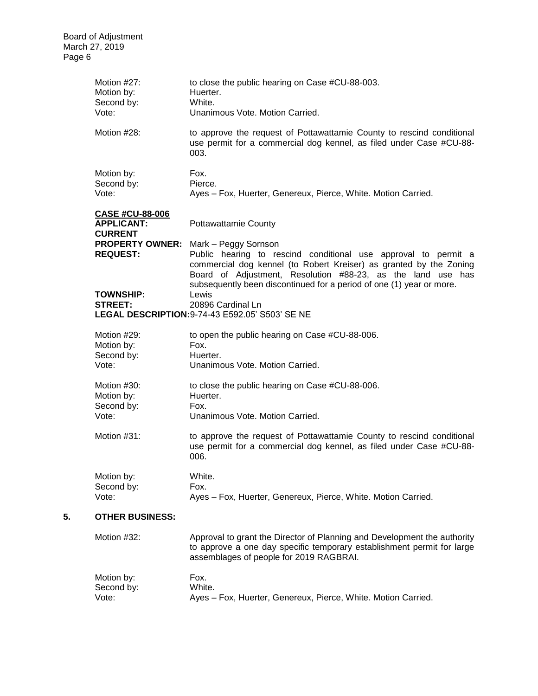|    | Motion #27:<br>Motion by:<br>Second by:<br>Vote:                                 | to close the public hearing on Case #CU-88-003.<br>Huerter.<br>White.<br>Unanimous Vote. Motion Carried.                                                                                                                                                                          |
|----|----------------------------------------------------------------------------------|-----------------------------------------------------------------------------------------------------------------------------------------------------------------------------------------------------------------------------------------------------------------------------------|
|    | Motion #28:                                                                      | to approve the request of Pottawattamie County to rescind conditional<br>use permit for a commercial dog kennel, as filed under Case #CU-88-<br>003.                                                                                                                              |
|    | Motion by:                                                                       | Fox.                                                                                                                                                                                                                                                                              |
|    | Second by:                                                                       | Pierce.                                                                                                                                                                                                                                                                           |
|    | Vote:                                                                            | Ayes - Fox, Huerter, Genereux, Pierce, White. Motion Carried.                                                                                                                                                                                                                     |
|    | <b>CASE #CU-88-006</b><br><b>APPLICANT:</b><br><b>CURRENT</b><br><b>REQUEST:</b> | <b>Pottawattamie County</b><br><b>PROPERTY OWNER:</b> Mark - Peggy Sornson<br>Public hearing to rescind conditional use approval to permit a<br>commercial dog kennel (to Robert Kreiser) as granted by the Zoning<br>Board of Adjustment, Resolution #88-23, as the land use has |
|    |                                                                                  | subsequently been discontinued for a period of one (1) year or more.                                                                                                                                                                                                              |
|    | <b>TOWNSHIP:</b>                                                                 | Lewis                                                                                                                                                                                                                                                                             |
|    | <b>STREET:</b>                                                                   | 20896 Cardinal Ln<br>LEGAL DESCRIPTION: 9-74-43 E592.05' S503' SE NE                                                                                                                                                                                                              |
|    |                                                                                  |                                                                                                                                                                                                                                                                                   |
|    | Motion #29:                                                                      | to open the public hearing on Case #CU-88-006.                                                                                                                                                                                                                                    |
|    | Motion by:<br>Second by:                                                         | Fox.<br>Huerter.                                                                                                                                                                                                                                                                  |
|    | Vote:                                                                            | Unanimous Vote. Motion Carried.                                                                                                                                                                                                                                                   |
|    | Motion #30:<br>Motion by:                                                        | to close the public hearing on Case #CU-88-006.<br>Huerter.                                                                                                                                                                                                                       |
|    | Second by:<br>Vote:                                                              | Fox.<br>Unanimous Vote. Motion Carried.                                                                                                                                                                                                                                           |
|    | Motion #31:                                                                      | to approve the request of Pottawattamie County to rescind conditional<br>use permit for a commercial dog kennel, as filed under Case #CU-88-<br>006.                                                                                                                              |
|    | Motion by:                                                                       | White.                                                                                                                                                                                                                                                                            |
|    | Second by:                                                                       | Fox.                                                                                                                                                                                                                                                                              |
|    | Vote:                                                                            | Ayes - Fox, Huerter, Genereux, Pierce, White. Motion Carried.                                                                                                                                                                                                                     |
| 5. | <b>OTHER BUSINESS:</b>                                                           |                                                                                                                                                                                                                                                                                   |
|    | Motion #32:                                                                      | Approval to grant the Director of Planning and Development the authority<br>to approve a one day specific temporary establishment permit for large<br>assemblages of people for 2019 RAGBRAI.                                                                                     |
|    | Motion by:                                                                       | Fox.                                                                                                                                                                                                                                                                              |
|    | Second by:                                                                       | White.                                                                                                                                                                                                                                                                            |
|    | Vote:                                                                            | Ayes - Fox, Huerter, Genereux, Pierce, White. Motion Carried.                                                                                                                                                                                                                     |